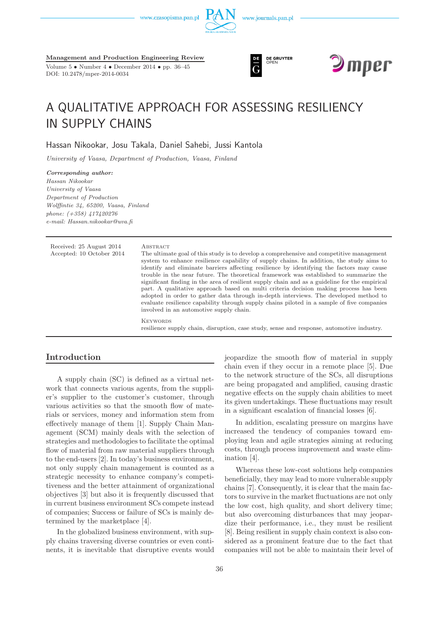www.czasopisma.pan.pl





Volume 5 • Number 4 • December 2014 • pp. 36–45 DOI: 10.2478/mper-2014-0034





# A QUALITATIVE APPROACH FOR ASSESSING RESILIENCY IN SUPPLY CHAINS

Hassan Nikookar, Josu Takala, Daniel Sahebi, Jussi Kantola

*University of Vaasa, Department of Production, Vaasa, Finland*

*Corresponding author: Hassan Nikookar University of Vaasa Department of Production Wolffintie 34, 65200, Vaasa, Finland phone: (+358) 417420276 e-mail: Hassan.nikookar@uva.fi*

| Received: 25 August 2014<br>Accepted: 10 October 2014 | ABSTRACT<br>The ultimate goal of this study is to develop a comprehensive and competitive management<br>system to enhance resilience capability of supply chains. In addition, the study aims to<br>identify and eliminate barriers affecting resilience by identifying the factors may cause<br>trouble in the near future. The theoretical framework was established to summarize the<br>significant finding in the area of resilient supply chain and as a guideline for the empirical<br>part. A qualitative approach based on multi criteria decision making process has been<br>adopted in order to gather data through in-depth interviews. The developed method to<br>evaluate resilience capability through supply chains piloted in a sample of five companies<br>involved in an automotive supply chain. |
|-------------------------------------------------------|---------------------------------------------------------------------------------------------------------------------------------------------------------------------------------------------------------------------------------------------------------------------------------------------------------------------------------------------------------------------------------------------------------------------------------------------------------------------------------------------------------------------------------------------------------------------------------------------------------------------------------------------------------------------------------------------------------------------------------------------------------------------------------------------------------------------|
|                                                       | <b>KEYWORDS</b><br>resilience supply chain, disruption, case study, sense and response, automotive industry.                                                                                                                                                                                                                                                                                                                                                                                                                                                                                                                                                                                                                                                                                                        |

# **Introduction**

A supply chain (SC) is defined as a virtual network that connects various agents, from the supplier's supplier to the customer's customer, through various activities so that the smooth flow of materials or services, money and information stem from effectively manage of them [1]. Supply Chain Management (SCM) mainly deals with the selection of strategies and methodologies to facilitate the optimal flow of material from raw material suppliers through to the end-users [2]. In today's business environment, not only supply chain management is counted as a strategic necessity to enhance company's competitiveness and the better attainment of organizational objectives [3] but also it is frequently discussed that in current business environment SCs compete instead of companies; Success or failure of SCs is mainly determined by the marketplace [4].

In the globalized business environment, with supply chains traversing diverse countries or even continents, it is inevitable that disruptive events would jeopardize the smooth flow of material in supply chain even if they occur in a remote place [5]. Due to the network structure of the SCs, all disruptions are being propagated and amplified, causing drastic negative effects on the supply chain abilities to meet its given undertakings. These fluctuations may result in a significant escalation of financial losses [6].

In addition, escalating pressure on margins have increased the tendency of companies toward employing lean and agile strategies aiming at reducing costs, through process improvement and waste elimination [4].

Whereas these low-cost solutions help companies beneficially, they may lead to more vulnerable supply chains [7]. Consequently, it is clear that the main factors to survive in the market fluctuations are not only the low cost, high quality, and short delivery time; but also overcoming disturbances that may jeopardize their performance, i.e., they must be resilient [8]. Being resilient in supply chain context is also considered as a prominent feature due to the fact that companies will not be able to maintain their level of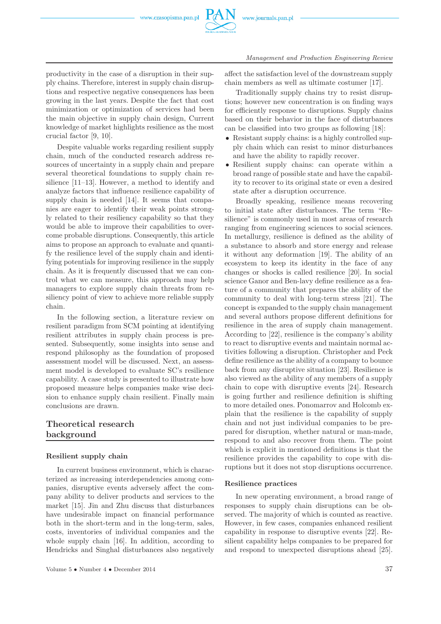

productivity in the case of a disruption in their supply chains. Therefore, interest in supply chain disruptions and respective negative consequences has been growing in the last years. Despite the fact that cost minimization or optimization of services had been the main objective in supply chain design, Current knowledge of market highlights resilience as the most crucial factor [9, 10].

Despite valuable works regarding resilient supply chain, much of the conducted research address resources of uncertainty in a supply chain and prepare several theoretical foundations to supply chain resilience [11–13]. However, a method to identify and analyze factors that influence resilience capability of supply chain is needed [14]. It seems that companies are eager to identify their weak points strongly related to their resiliency capability so that they would be able to improve their capabilities to overcome probable disruptions. Consequently, this article aims to propose an approach to evaluate and quantify the resilience level of the supply chain and identifying potentials for improving resilience in the supply chain. As it is frequently discussed that we can control what we can measure, this approach may help managers to explore supply chain threats from resiliency point of view to achieve more reliable supply chain.

In the following section, a literature review on resilient paradigm from SCM pointing at identifying resilient attributes in supply chain process is presented. Subsequently, some insights into sense and respond philosophy as the foundation of proposed assessment model will be discussed. Next, an assessment model is developed to evaluate SC's resilience capability. A case study is presented to illustrate how proposed measure helps companies make wise decision to enhance supply chain resilient. Finally main conclusions are drawn.

# **Theoretical research background**

#### **Resilient supply chain**

In current business environment, which is characterized as increasing interdependencies among companies, disruptive events adversely affect the company ability to deliver products and services to the market [15]. Jin and Zhu discuss that disturbances have undesirable impact on financial performance both in the short-term and in the long-term, sales, costs, inventories of individual companies and the whole supply chain [16]. In addition, according to Hendricks and Singhal disturbances also negatively

affect the satisfaction level of the downstream supply chain members as well as ultimate costumer [17].

Traditionally supply chains try to resist disruptions; however new concentration is on finding ways for efficiently response to disruptions. Supply chains based on their behavior in the face of disturbances can be classified into two groups as following [18]:

- Resistant supply chains: is a highly controlled supply chain which can resist to minor disturbances and have the ability to rapidly recover.
- Resilient supply chains: can operate within a broad range of possible state and have the capability to recover to its original state or even a desired state after a disruption occurrence.

Broadly speaking, resilience means recovering to initial state after disturbances. The term "Resilience" is commonly used in most areas of research ranging from engineering sciences to social sciences. In metallurgy, resilience is defined as the ability of a substance to absorb and store energy and release it without any deformation [19]. The ability of an ecosystem to keep its identity in the face of any changes or shocks is called resilience [20]. In social science Ganor and Ben-lavy define resilience as a feature of a community that prepares the ability of the community to deal with long-term stress [21]. The concept is expanded to the supply chain management and several authors propose different definitions for resilience in the area of supply chain management. According to [22], resilience is the company's ability to react to disruptive events and maintain normal activities following a disruption. Christopher and Peck define resilience as the ability of a company to bounce back from any disruptive situation [23]. Resilience is also viewed as the ability of any members of a supply chain to cope with disruptive events [24]. Research is going further and resilience definition is shifting to more detailed ones. Ponomarrov and Holcomb explain that the resilience is the capability of supply chain and not just individual companies to be prepared for disruption, whether natural or man-made, respond to and also recover from them. The point which is explicit in mentioned definitions is that the resilience provides the capability to cope with disruptions but it does not stop disruptions occurrence.

#### **Resilience practices**

In new operating environment, a broad range of responses to supply chain disruptions can be observed. The majority of which is counted as reactive. However, in few cases, companies enhanced resilient capability in response to disruptive events [22]. Resilient capability helps companies to be prepared for and respond to unexpected disruptions ahead [25].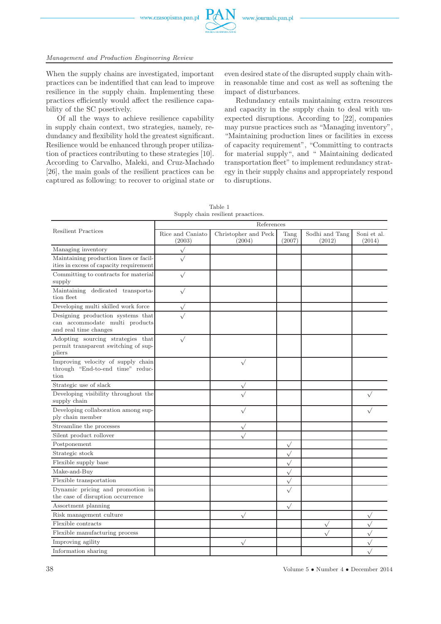

When the supply chains are investigated, important practices can be indentified that can lead to improve resilience in the supply chain. Implementing these practices efficiently would affect the resilience capability of the SC posetively.

Of all the ways to achieve resilience capability in supply chain context, two strategies, namely, redundancy and flexibility hold the greatest significant. Resilience would be enhanced through proper utilization of practices contributing to these strategies [10]. According to Carvalho, Maleki, and Cruz-Machado [26], the main goals of the resilient practices can be captured as following: to recover to original state or even desired state of the disrupted supply chain within reasonable time and cost as well as softening the impact of disturbances.

Redundancy entails maintaining extra resources and capacity in the supply chain to deal with unexpected disruptions. According to [22], companies may pursue practices such as "Managing inventory", "Maintaining production lines or facilities in excess of capacity requirement", "Committing to contracts for material supply", and " Maintaining dedicated transportation fleet" to implement redundancy strategy in their supply chains and appropriately respond to disruptions.

|                                                                                              | References                 |                                |                |                          |                       |  |  |
|----------------------------------------------------------------------------------------------|----------------------------|--------------------------------|----------------|--------------------------|-----------------------|--|--|
| <b>Resilient Practices</b>                                                                   | Rice and Caniato<br>(2003) | Christopher and Peck<br>(2004) | Tang<br>(2007) | Sodhi and Tang<br>(2012) | Soni et al.<br>(2014) |  |  |
| Managing inventory                                                                           |                            |                                |                |                          |                       |  |  |
| Maintaining production lines or facil-<br>ities in excess of capacity requirement            |                            |                                |                |                          |                       |  |  |
| Committing to contracts for material<br>supply                                               | $\sqrt{}$                  |                                |                |                          |                       |  |  |
| Maintaining dedicated transporta-<br>tion fleet                                              |                            |                                |                |                          |                       |  |  |
| Developing multi skilled work force                                                          |                            |                                |                |                          |                       |  |  |
| Designing production systems that<br>can accommodate multi products<br>and real time changes |                            |                                |                |                          |                       |  |  |
| Adopting sourcing strategies that<br>permit transparent switching of sup-<br>pliers          | $\sqrt{}$                  |                                |                |                          |                       |  |  |
| Improving velocity of supply chain<br>through "End-to-end time" reduc-<br>tion               |                            | $\sqrt{}$                      |                |                          |                       |  |  |
| Strategic use of slack                                                                       |                            |                                |                |                          |                       |  |  |
| Developing visibility throughout the<br>supply chain                                         |                            |                                |                |                          |                       |  |  |
| Developing collaboration among sup-<br>ply chain member                                      |                            |                                |                |                          |                       |  |  |
| Streamline the processes                                                                     |                            | $\sqrt{}$                      |                |                          |                       |  |  |
| Silent product rollover                                                                      |                            |                                |                |                          |                       |  |  |
| Postponement                                                                                 |                            |                                | $\sqrt{}$      |                          |                       |  |  |
| Strategic stock                                                                              |                            |                                | $\sqrt{}$      |                          |                       |  |  |
| Flexible supply base                                                                         |                            |                                | $\sqrt{}$      |                          |                       |  |  |
| Make-and-Buy                                                                                 |                            |                                | $\sqrt{}$      |                          |                       |  |  |
| Flexible transportation                                                                      |                            |                                | $\sqrt{}$      |                          |                       |  |  |
| Dynamic pricing and promotion in<br>the case of disruption occurrence                        |                            |                                | $\sqrt{}$      |                          |                       |  |  |
| Assortment planning                                                                          |                            |                                | $\sqrt{}$      |                          |                       |  |  |
| Risk management culture                                                                      |                            | $\sqrt{}$                      |                |                          | $\sqrt{}$             |  |  |
| Flexible contracts                                                                           |                            |                                |                | $\checkmark$             | $\sqrt{}$             |  |  |
| Flexible manufacturing process                                                               |                            |                                |                |                          | $\sqrt{}$             |  |  |
| Improving agility                                                                            |                            |                                |                |                          | $\sqrt{}$             |  |  |
| Information sharing                                                                          |                            |                                |                |                          |                       |  |  |

Table 1 Supply chain resilient praactices.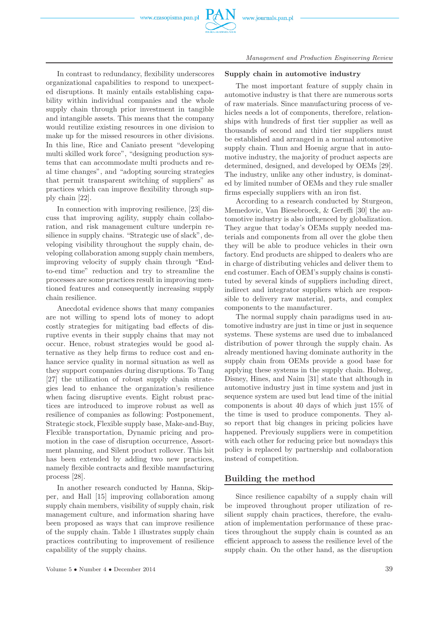

In contrast to redundancy, flexibility underscores organizational capabilities to respond to unexpected disruptions. It mainly entails establishing capability within individual companies and the whole supply chain through prior investment in tangible and intangible assets. This means that the company would reutilize existing resources in one division to make up for the missed resources in other divisions. In this line, Rice and Caniato present "developing multi skilled work force", "designing production systems that can accommodate multi products and real time changes", and "adopting sourcing strategies that permit transparent switching of suppliers" as practices which can improve flexibility through supply chain [22].

In connection with improving resilience, [23] discuss that improving agility, supply chain collaboration, and risk management culture underpin resilience in supply chains. "Strategic use of slack", developing visibility throughout the supply chain, developing collaboration among supply chain members, improving velocity of supply chain through "Endto-end time" reduction and try to streamline the processes are some practices result in improving mentioned features and consequently increasing supply chain resilience.

Anecdotal evidence shows that many companies are not willing to spend lots of money to adopt costly strategies for mitigating bad effects of disruptive events in their supply chains that may not occur. Hence, robust strategies would be good alternative as they help firms to reduce cost and enhance service quality in normal situation as well as they support companies during disruptions. To Tang [27] the utilization of robust supply chain strategies lead to enhance the organization's resilience when facing disruptive events. Eight robust practices are introduced to improve robust as well as resilience of companies as following: Postponement, Strategic stock, Flexible supply base, Make-and-Buy, Flexible transportation, Dynamic pricing and promotion in the case of disruption occurrence, Assortment planning, and Silent product rollover. This lsit has been extended by adding two new practices, namely flexible contracts and flexible manufacturing process [28].

In another research conducted by Hanna, Skipper, and Hall [15] improving collaboration among supply chain members, visibility of supply chain, risk management culture, and information sharing have been proposed as ways that can improve resilience of the supply chain. Table 1 illustrates supply chain practices contributing to improvement of resilience capability of the supply chains.

### **Supply chain in automotive industry**

The most important feature of supply chain in automotive industry is that there are numerous sorts of raw materials. Since manufacturing process of vehicles needs a lot of components, therefore, relationships with hundreds of first tier supplier as well as thousands of second and third tier suppliers must be established and arranged in a normal automotive supply chain. Thun and Hoenig argue that in automotive industry, the majority of product aspects are determined, designed, and developed by OEMs [29]. The industry, unlike any other industry, is dominated by limited number of OEMs and they rule smaller firms especially suppliers with an iron fist.

According to a research conducted by Sturgeon, Memedovic, Van Biesebroeck, & Gereffi [30] the automotive industry is also influenced by globalization. They argue that today's OEMs supply needed materials and components from all over the globe then they will be able to produce vehicles in their own factory. End products are shipped to dealers who are in charge of distributing vehicles and deliver them to end costumer. Each of OEM's supply chains is constituted by several kinds of suppliers including direct, indirect and integrator suppliers which are responsible to delivery raw material, parts, and complex components to the manufacturer.

The normal supply chain paradigms used in automotive industry are just in time or just in sequence systems. These systems are used due to imbalanced distribution of power through the supply chain. As already mentioned having dominate authority in the supply chain from OEMs provide a good base for applying these systems in the supply chain. Holweg, Disney, Hines, and Naim [31] state that although in automotive industry just in time system and just in sequence system are used but lead time of the initial components is about 40 days of which just 15% of the time is used to produce components. They also report that big changes in pricing policies have happened. Previously suppliers were in competition with each other for reducing price but nowadays this policy is replaced by partnership and collaboration instead of competition.

# **Building the method**

Since resilience capabilty of a supply chain will be improved throughout proper utilization of resilient supply chain practices, therefore, the evaluation of implementation performance of these practices throughout the supply chain is counted as an efficient approach to assess the resilience level of the supply chain. On the other hand, as the disruption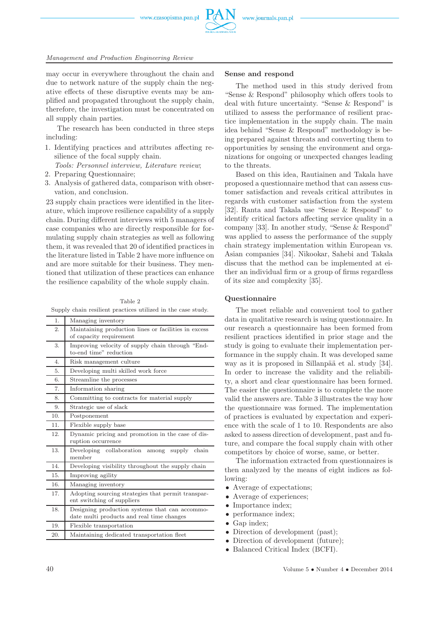may occur in everywhere throughout the chain and due to network nature of the supply chain the negative effects of these disruptive events may be amplified and propagated throughout the supply chain, therefore, the investigation must be concentrated on all supply chain parties.

The research has been conducted in three steps including:

1. Identifying practices and attributes affecting resilience of the focal supply chain.

*Tools: Personnel interview, Literature review*;

- 2. Preparing Questionnaire;
- 3. Analysis of gathered data, comparison with observation, and conclusion.

23 supply chain practices were identified in the literature, which improve resilience capability of a supply chain. During different interviews with 5 managers of case companies who are directly responsible for formulating supply chain strategies as well as following them, it was revealed that 20 of identified practices in the literature listed in Table 2 have more influence on and are more suitable for their business. They mentioned that utilization of these practices can enhance the resilience capability of the whole supply chain.

Table 2 Supply chain resilient practices utilized in the case study.

| 1.             | Managing inventory                                   |
|----------------|------------------------------------------------------|
| 2.             | Maintaining production lines or facilities in excess |
|                | of capacity requirement                              |
| 3.             | Improving velocity of supply chain through "End-     |
|                | to-end time" reduction                               |
| $\mathbf{4}$ . | Risk management culture                              |
| 5.             | Developing multi skilled work force                  |
| 6.             | Streamline the processes                             |
| 7.             | Information sharing                                  |
| 8.             | Committing to contracts for material supply          |
| 9.             | Strategic use of slack                               |
| 10.            | Postponement                                         |
| 11.            | Flexible supply base                                 |
| 12.            | Dynamic pricing and promotion in the case of dis-    |
|                | ruption occurrence                                   |
| 13.            | Developing collaboration<br>chain<br>supply<br>among |
|                | member                                               |
| 14.            | Developing visibility throughout the supply chain    |
| 15.            | Improving agility                                    |
| 16.            | Managing inventory                                   |
| 17.            | Adopting sourcing strategies that permit transpar-   |
|                | ent switching of suppliers                           |
| 18.            | Designing production systems that can accommo-       |
|                | date multi products and real time changes            |
| 19.            | Flexible transportation                              |
| 20.            | Maintaining dedicated transportation fleet           |
|                |                                                      |

#### **Sense and respond**

The method used in this study derived from "Sense & Respond" philosophy which offers tools to deal with future uncertainty. "Sense & Respond" is utilized to assess the performance of resilient practice implementation in the supply chain. The main idea behind "Sense & Respond" methodology is being prepared against threats and converting them to opportunities by sensing the environment and organizations for ongoing or unexpected changes leading to the threats.

Based on this idea, Rautiainen and Takala have proposed a questionnaire method that can assess customer satisfaction and reveals critical attributes in regards with customer satisfaction from the system [32]. Ranta and Takala use "Sense & Respond" to identify critical factors affecting service quality in a company [33]. In another study, "Sense & Respond" was applied to assess the performance of the supply chain strategy implementation within European vs. Asian companies [34]. Nikookar, Sahebi and Takala discuss that the method can be implemented at either an individual firm or a group of firms regardless of its size and complexity [35].

#### **Questionnaire**

The most reliable and convenient tool to gather data in qualitative research is using questionnaire. In our research a questionnaire has been formed from resilient practices identified in prior stage and the study is going to evaluate their implementation performance in the supply chain. It was developed same way as it is proposed in Sillanpää et al. study [34]. In order to increase the validity and the reliability, a short and clear questionnaire has been formed. The easier the questionnaire is to complete the more valid the answers are. Table 3 illustrates the way how the questionnaire was formed. The implementation of practices is evaluated by expectation and experience with the scale of 1 to 10. Respondents are also asked to assess direction of development, past and future, and compare the focal supply chain with other competitors by choice of worse, same, or better.

The information extracted from questionnaires is then analyzed by the means of eight indices as following:

- Average of expectations;
- Average of experiences;
- Importance index;
- performance index;
- Gap index;
- Direction of development (past);
- Direction of development (future):
- Balanced Critical Index (BCFI).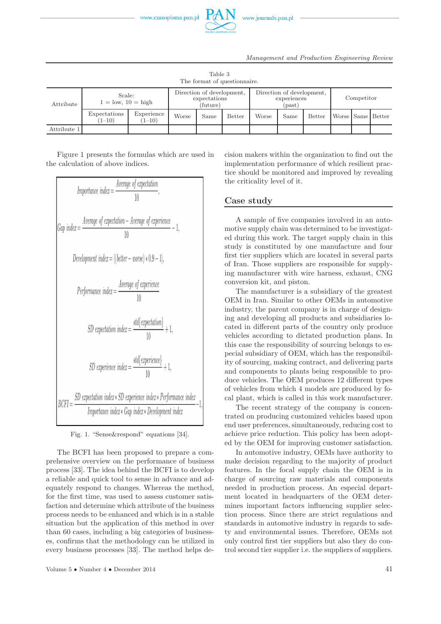

| The format of question aire. |                                  |                          |                                                       |      |                                                    |       |            |        |  |  |                   |
|------------------------------|----------------------------------|--------------------------|-------------------------------------------------------|------|----------------------------------------------------|-------|------------|--------|--|--|-------------------|
| Attribute                    | Scale:<br>$1 =$ low, $10 =$ high |                          | Direction of development,<br>expectations<br>(future) |      | Direction of development,<br>experiences<br>(past) |       | Competitor |        |  |  |                   |
|                              | Expectations<br>$(1-10)$         | Experience<br>$(1 - 10)$ | Worse                                                 | Same | <b>Better</b>                                      | Worse | Same       | Better |  |  | Worse Same Better |
| Attribute 1                  |                                  |                          |                                                       |      |                                                    |       |            |        |  |  |                   |

Table 3

Figure 1 presents the formulas which are used in the calculation of above indices.



Fig. 1. "Sense&respond" equations [34].

The BCFI has been proposed to prepare a comprehensive overview on the performance of business process [33]. The idea behind the BCFI is to develop a reliable and quick tool to sense in advance and adequately respond to changes. Whereas the method, for the first time, was used to assess customer satisfaction and determine which attribute of the business process needs to be enhanced and which is in a stable situation but the application of this method in over than 60 cases, including a big categories of businesses, confirms that the methodology can be utilized in every business processes [33]. The method helps decision makers within the organization to find out the implementation performance of which resilient practice should be monitored and improved by revealing the criticality level of it.

## **Case study**

A sample of five companies involved in an automotive supply chain was determined to be investigated during this work. The target supply chain in this study is constituted by one manufacture and four first tier suppliers which are located in several parts of Iran. Those suppliers are responsible for supplying manufacturer with wire harness, exhaust, CNG conversion kit, and piston.

The manufacturer is a subsidiary of the greatest OEM in Iran. Similar to other OEMs in automotive industry, the parent company is in charge of designing and developing all products and subsidiaries located in different parts of the country only produce vehicles according to dictated production plans. In this case the responsibility of sourcing belongs to especial subsidiary of OEM, which has the responsibility of sourcing, making contract, and delivering parts and components to plants being responsible to produce vehicles. The OEM produces 12 different types of vehicles from which 4 models are produced by focal plant, which is called in this work manufacturer.

The recent strategy of the company is concentrated on producing customized vehicles based upon end user preferences, simultaneously, reducing cost to achieve price reduction. This policy has been adopted by the OEM for improving customer satisfaction.

In automotive industry, OEMs have authority to make decision regarding to the majority of product features. In the focal supply chain the OEM is in charge of sourcing raw materials and components needed in production process. An especial department located in headquarters of the OEM determines important factors influencing supplier selection process. Since there are strict regulations and standards in automotive industry in regards to safety and environmental issues. Therefore, OEMs not only control first tier suppliers but also they do control second tier supplier i.e. the suppliers of suppliers.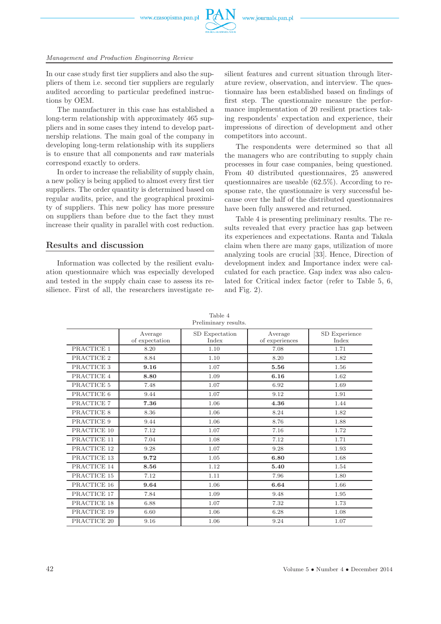www.czasopisma.pan.pl



#### *Management and Production Engineering Review*

In our case study first tier suppliers and also the suppliers of them i.e. second tier suppliers are regularly audited according to particular predefined instructions by OEM.

The manufacturer in this case has established a long-term relationship with approximately 465 suppliers and in some cases they intend to develop partnership relations. The main goal of the company in developing long-term relationship with its suppliers is to ensure that all components and raw materials correspond exactly to orders.

In order to increase the reliability of supply chain, a new policy is being applied to almost every first tier suppliers. The order quantity is determined based on regular audits, price, and the geographical proximity of suppliers. This new policy has more pressure on suppliers than before due to the fact they must increase their quality in parallel with cost reduction.

# **Results and discussion**

Information was collected by the resilient evaluation questionnaire which was especially developed and tested in the supply chain case to assess its resilience. First of all, the researchers investigate resilient features and current situation through literature review, observation, and interview. The questionnaire has been established based on findings of first step. The questionnaire measure the performance implementation of 20 resilient practices taking respondents' expectation and experience, their impressions of direction of development and other competitors into account.

The respondents were determined so that all the managers who are contributing to supply chain processes in four case companies, being questioned. From 40 distributed questionnaires, 25 answered questionnaires are useable (62.5%). According to response rate, the questionnaire is very successful because over the half of the distributed questionnaires have been fully answered and returned.

Table 4 is presenting preliminary results. The results revealed that every practice has gap between its experiences and expectations. Ranta and Takala claim when there are many gaps, utilization of more analyzing tools are crucial [33]. Hence, Direction of development index and Importance index were calculated for each practice. Gap index was also calculated for Critical index factor (refer to Table 5, 6, and Fig. 2).

| гтенницагу техниз. |                           |                         |                           |                        |  |  |
|--------------------|---------------------------|-------------------------|---------------------------|------------------------|--|--|
|                    | Average<br>of expectation | SD Expectation<br>Index | Average<br>of experiences | SD Experience<br>Index |  |  |
| PRACTICE 1         | 8.20                      | 1.10                    | 7.08                      | 1.71                   |  |  |
| PRACTICE 2         | 8.84                      | 1.10                    | 8.20                      | 1.82                   |  |  |
| PRACTICE 3         | 9.16                      | 1.07                    | 5.56                      | 1.56                   |  |  |
| PRACTICE 4         | 8.80                      | 1.09                    | 6.16                      | 1.62                   |  |  |
| PRACTICE 5         | 7.48                      | 1.07                    | 6.92                      | 1.69                   |  |  |
| PRACTICE 6         | 9.44                      | 1.07                    | 9.12                      | 1.91                   |  |  |
| PRACTICE 7         | 7.36                      | 1.06                    | 4.36                      | 1.44                   |  |  |
| PRACTICE 8         | 8.36                      | 1.06                    | 8.24                      | 1.82                   |  |  |
| PRACTICE 9         | 9.44                      | 1.06                    | 8.76                      | 1.88                   |  |  |
| PRACTICE 10        | 7.12                      | 1.07                    | 7.16                      | 1.72                   |  |  |
| PRACTICE 11        | 7.04                      | 1.08                    | 7.12                      | 1.71                   |  |  |
| PRACTICE 12        | 9.28                      | 1.07                    | 9.28                      | 1.93                   |  |  |
| PRACTICE 13        | 9.72                      | 1.05                    | 6.80                      | 1.68                   |  |  |
| PRACTICE 14        | 8.56                      | 1.12                    | 5.40                      | 1.54                   |  |  |
| PRACTICE 15        | 7.12                      | 1.11                    | 7.96                      | 1.80                   |  |  |
| PRACTICE 16        | 9.64                      | 1.06                    | 6.64                      | 1.66                   |  |  |
| PRACTICE 17        | 7.84                      | 1.09                    | 9.48                      | 1.95                   |  |  |
| PRACTICE 18        | 6.88                      | 1.07                    | 7.32                      | 1.73                   |  |  |
| PRACTICE 19        | 6.60                      | 1.06                    | 6.28                      | 1.08                   |  |  |
| PRACTICE 20        | 9.16                      | 1.06                    | 9.24                      | 1.07                   |  |  |

Table 4 Preliminary results.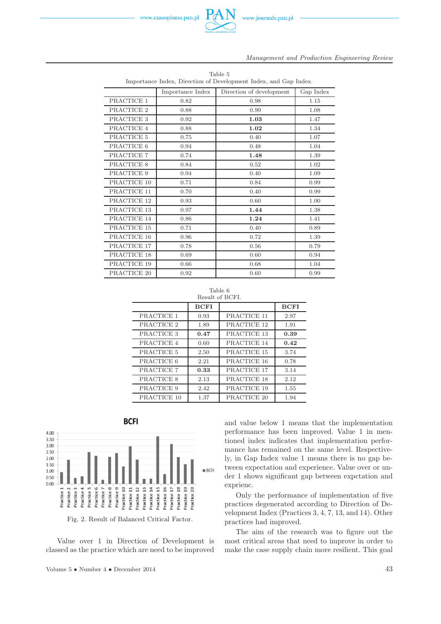

| Table 5<br>Importance Index, Direction of Development Index, and Gap Index. |                  |                          |           |  |  |  |
|-----------------------------------------------------------------------------|------------------|--------------------------|-----------|--|--|--|
|                                                                             |                  |                          |           |  |  |  |
|                                                                             | Importance Index | Direction of development | Gap Index |  |  |  |
| PRACTICE 1                                                                  | 0.82             | 0.98                     | 1.15      |  |  |  |
| PRACTICE 2                                                                  | 0.88             | 0.99                     | 1.08      |  |  |  |
| PRACTICE 3                                                                  | 0.92             | 1.03                     | 1.47      |  |  |  |
| PRACTICE 4                                                                  | 0.88             | 1.02                     | 1.34      |  |  |  |
| PRACTICE 5                                                                  | 0.75             | 0.40                     | 1.07      |  |  |  |
| PRACTICE 6                                                                  | 0.94             | 0.48                     | 1.04      |  |  |  |
| PRACTICE 7                                                                  | 0.74             | 1.48                     | 1.39      |  |  |  |
| PRACTICE 8                                                                  | 0.84             | 0.52                     | 1.02      |  |  |  |
| PRACTICE 9                                                                  | 0.94             | 0.40                     | 1.09      |  |  |  |
| PRACTICE 10                                                                 | 0.71             | 0.84                     | 0.99      |  |  |  |
| PRACTICE 11                                                                 | 0.70             | 0.40                     | 0.99      |  |  |  |
| PRACTICE 12                                                                 | 0.93             | 0.60                     | 1.00      |  |  |  |
| PRACTICE 13                                                                 | 0.97             | 1.44                     | 1.38      |  |  |  |
| PRACTICE 14                                                                 | 0.86             | 1.24                     | 1.41      |  |  |  |
| PRACTICE 15                                                                 | 0.71             | 0.40                     | 0.89      |  |  |  |
| PRACTICE 16                                                                 | 0.96             | 0.72                     | 1.39      |  |  |  |
| PRACTICE 17                                                                 | 0.78             | 0.56                     | 0.79      |  |  |  |
| PRACTICE 18                                                                 | 0.69             | 0.60                     | 0.94      |  |  |  |
| PRACTICE 19                                                                 | 0.66             | 0.68                     | 1.04      |  |  |  |
| PRACTICE 20                                                                 | 0.92             | 0.60                     | 0.99      |  |  |  |



|             | <b>BCFI</b> |             | <b>BCFI</b> |
|-------------|-------------|-------------|-------------|
| PRACTICE 1  | 0.93        | PRACTICE 11 | 2.97        |
| PRACTICE 2  | 1.89        | PRACTICE 12 | 1.91        |
| PRACTICE 3  | 0.47        | PRACTICE 13 | 0.39        |
| PRACTICE 4  | 0.60        | PRACTICE 14 | 0.42        |
| PRACTICE 5  | 2.50        | PRACTICE 15 | 3.74        |
| PRACTICE 6  | 2.21        | PRACTICE 16 | 0.78        |
| PRACTICE 7  | 0.33        | PRACTICE 17 | 3.14        |
| PRACTICE 8  | 2.13        | PRACTICE 18 | 2.12        |
| PRACTICE 9  | 2.42        | PRACTICE 19 | 1.55        |
| PRACTICE 10 | 1.37        | PRACTICE 20 | 1.94        |



l,



Value over 1 in Direction of Development is classed as the practice which are need to be improved and value below 1 means that the implementation performance has been improved. Value 1 in mentioned index indicates that implementation performance has remained on the same level. Respectively, in Gap Index value 1 means there is no gap between expectation and experience. Value over or under 1 shows significant gap between expctation and exprienc.

Only the performance of implementation of five practices degenerated according to Direction of Development Index (Practices 3, 4, 7, 13, and 14). Other practices had improved.

The aim of the research was to figure out the most critical areas that need to improve in order to make the case supply chain more resilient. This goal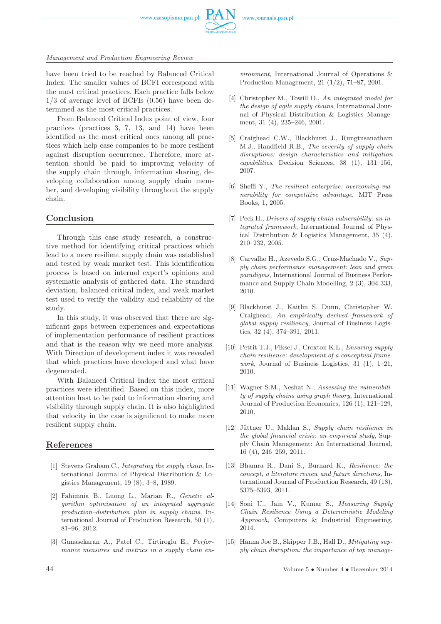www.czasopisma.pan.pl



have been tried to be reached by Balanced Critical Index. The smaller values of BCFI correspond with the most critical practices. Each practice falls below 1/3 of average level of BCFIs (0.56) have been determined as the most critical practices.

From Balanced Critical Index point of view, four practices (practices 3, 7, 13, and 14) have been identified as the most critical ones among all practices which help case companies to be more resilient against disruption occurrence. Therefore, more attention should be paid to improving velocity of the supply chain through, information sharing, developing collaboration among supply chain member, and developing visibility throughout the supply chain.

# **Conclusion**

Through this case study research, a constructive method for identifying critical practices which lead to a more resilient supply chain was established and tested by weak market test. This identification process is based on internal expert's opinions and systematic analysis of gathered data. The standard deviation, balanced critical index, and weak market test used to verify the validity and reliability of the study.

In this study, it was observed that there are significant gaps between experiences and expectations of implementation performance of resilient practices and that is the reason why we need more analysis. With Direction of development index it was revealed that which practices have developed and what have degenerated.

With Balanced Critical Index the most critical practices were identified. Based on this index, more attention hast to be paid to information sharing and visibility through supply chain. It is also highlighted that velocity in the case is significant to make more resilient supply chain.

# **References**

- [1] Stevens Graham C., *Integrating the supply chain*, International Journal of Physical Distribution & Logistics Management, 19 (8), 3–8, 1989.
- [2] Fahimnia B., Luong L., Marian R., *Genetic algorithm optimisation of an integrated aggregate production–distribution plan in supply chains*, International Journal of Production Research, 50 (1), 81–96, 2012.
- [3] Gunasekaran A., Patel C., Tirtiroglu E., *Performance measures and metrics in a supply chain en-*

*vironment*, International Journal of Operations & Production Management, 21 (1/2), 71–87, 2001.

- [4] Christopher M., Towill D., *An integrated model for the design of agile supply chains*, International Journal of Physical Distribution & Logistics Management, 31 (4), 235–246, 2001.
- [5] Craighead C.W., Blackhurst J., Rungtusanatham M.J., Handfield R.B., *The severity of supply chain disruptions: design characteristics and mitigation capabilities*, Decision Sciences, 38 (1), 131–156, 2007.
- [6] Sheffi Y., *The resilient enterprise: overcoming vulnerability for competitive advantage*, MIT Press Books, 1, 2005.
- [7] Peck H., *Drivers of supply chain vulnerability: an integrated framework*, International Journal of Physical Distribution & Logistics Management, 35 (4), 210–232, 2005.
- [8] Carvalho H., Azevedo S.G., Cruz-Machado V., *Supply chain performance management: lean and green paradigms*, International Journal of Business Performance and Supply Chain Modelling, 2 (3), 304-333, 2010.
- [9] Blackhurst J., Kaitlin S. Dunn, Christopher W. Craighead, *An empirically derived framework of global supply resiliency*, Journal of Business Logistics, 32 (4), 374–391, 2011.
- [10] Pettit T.J., Fiksel J., Croxton K.L., *Ensuring supply chain resilience: development of a conceptual framework*, Journal of Business Logistics, 31 (1), 1–21, 2010.
- [11] Wagner S.M., Neshat N., *Assessing the vulnerability of supply chains using graph theory*, International Journal of Production Economics, 126 (1), 121–129, 2010.
- [12] Jüttner U., Maklan S., *Supply chain resilience in the global financial crisis: an empirical study*, Supply Chain Management: An International Journal, 16 (4), 246–259, 2011.
- [13] Bhamra R., Dani S., Burnard K., *Resilience: the concept, a literature review and future directions*, International Journal of Production Research, 49 (18), 5375–5393, 2011.
- [14] Soni U., Jain V., Kumar S., *Measuring Supply Chain Resilience Using a Deterministic Modeling Approach*, Computers & Industrial Engineering, 2014.
- [15] Hanna Joe B., Skipper J.B., Hall D., *Mitigating supply chain disruption: the importance of top manage-*